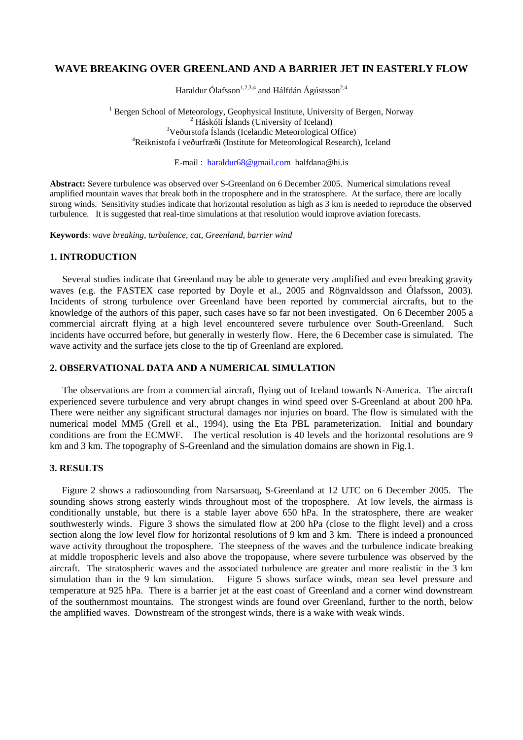## **WAVE BREAKING OVER GREENLAND AND A BARRIER JET IN EASTERLY FLOW**

Haraldur Ólafsson<sup>1,2,3,4</sup> and Hálfdán Ágústsson<sup>2,4</sup>

 $\frac{1}{1}$  Bergen School of Meteorology, Geombysiae Bergen School of Meteorology, Geophysical Institute, University of Bergen, Norway <sup>2</sup> Háskóli Íslands (University of Iceland) Veðurstofa Íslands (Icelandic Meteorological Office) 4 Reiknistofa í veðurfræði (Institute for Meteorological Research), Iceland

E-mail : haraldur68@gmail.com halfdana@hi.is

**Abstract:** Severe turbulence was observed over S-Greenland on 6 December 2005. Numerical simulations reveal amplified mountain waves that break both in the troposphere and in the stratosphere. At the surface, there are locally strong winds. Sensitivity studies indicate that horizontal resolution as high as 3 km is needed to reproduce the observed turbulence. It is suggested that real-time simulations at that resolution would improve aviation forecasts.

**Keywords**: *wave breaking, turbulence, cat, Greenland, barrier wind* 

### **1. INTRODUCTION**

Several studies indicate that Greenland may be able to generate very amplified and even breaking gravity waves (e.g. the FASTEX case reported by Doyle et al., 2005 and Rögnvaldsson and Ólafsson, 2003). Incidents of strong turbulence over Greenland have been reported by commercial aircrafts, but to the knowledge of the authors of this paper, such cases have so far not been investigated. On 6 December 2005 a commercial aircraft flying at a high level encountered severe turbulence over South-Greenland. Such incidents have occurred before, but generally in westerly flow. Here, the 6 December case is simulated. The wave activity and the surface jets close to the tip of Greenland are explored.

## **2. OBSERVATIONAL DATA AND A NUMERICAL SIMULATION**

The observations are from a commercial aircraft, flying out of Iceland towards N-America. The aircraft experienced severe turbulence and very abrupt changes in wind speed over S-Greenland at about 200 hPa. There were neither any significant structural damages nor injuries on board. The flow is simulated with the numerical model MM5 (Grell et al., 1994), using the Eta PBL parameterization. Initial and boundary conditions are from the ECMWF. The vertical resolution is 40 levels and the horizontal resolutions are 9 km and 3 km. The topography of S-Greenland and the simulation domains are shown in Fig.1.

# **3. RESULTS**

 Figure 2 shows a radiosounding from Narsarsuaq, S-Greenland at 12 UTC on 6 December 2005. The sounding shows strong easterly winds throughout most of the troposphere. At low levels, the airmass is conditionally unstable, but there is a stable layer above 650 hPa. In the stratosphere, there are weaker southwesterly winds. Figure 3 shows the simulated flow at 200 hPa (close to the flight level) and a cross section along the low level flow for horizontal resolutions of 9 km and 3 km. There is indeed a pronounced wave activity throughout the troposphere. The steepness of the waves and the turbulence indicate breaking at middle tropospheric levels and also above the tropopause, where severe turbulence was observed by the aircraft. The stratospheric waves and the associated turbulence are greater and more realistic in the 3 km simulation than in the 9 km simulation. Figure 5 shows surface winds, mean sea level pressure and temperature at 925 hPa. There is a barrier jet at the east coast of Greenland and a corner wind downstream of the southernmost mountains. The strongest winds are found over Greenland, further to the north, below the amplified waves. Downstream of the strongest winds, there is a wake with weak winds.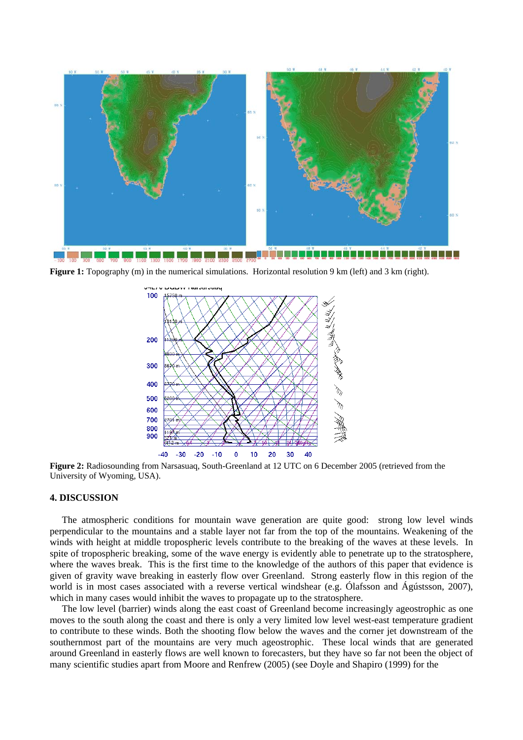

**Figure 1:** Topography (m) in the numerical simulations. Horizontal resolution 9 km (left) and 3 km (right).



**Figure 2:** Radiosounding from Narsasuaq, South-Greenland at 12 UTC on 6 December 2005 (retrieved from the University of Wyoming, USA).

#### **4. DISCUSSION**

 The atmospheric conditions for mountain wave generation are quite good: strong low level winds perpendicular to the mountains and a stable layer not far from the top of the mountains. Weakening of the winds with height at middle tropospheric levels contribute to the breaking of the waves at these levels. In spite of tropospheric breaking, some of the wave energy is evidently able to penetrate up to the stratosphere, where the waves break. This is the first time to the knowledge of the authors of this paper that evidence is given of gravity wave breaking in easterly flow over Greenland. Strong easterly flow in this region of the world is in most cases associated with a reverse vertical windshear (e.g. Ólafsson and Ágústsson, 2007), which in many cases would inhibit the waves to propagate up to the stratosphere.

 The low level (barrier) winds along the east coast of Greenland become increasingly ageostrophic as one moves to the south along the coast and there is only a very limited low level west-east temperature gradient to contribute to these winds. Both the shooting flow below the waves and the corner jet downstream of the southernmost part of the mountains are very much ageostrophic. These local winds that are generated around Greenland in easterly flows are well known to forecasters, but they have so far not been the object of many scientific studies apart from Moore and Renfrew (2005) (see Doyle and Shapiro (1999) for the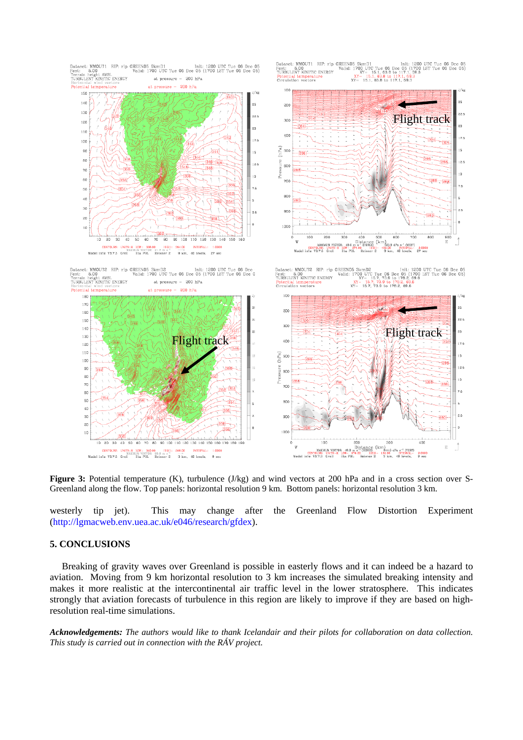





Figure 3: Potential temperature (K), turbulence (J/kg) and wind vectors at 200 hPa and in a cross section over S-Greenland along the flow. Top panels: horizontal resolution 9 km. Bottom panels: horizontal resolution 3 km.

westerly tip jet). This may change after the Greenland Flow Distortion Experiment (http://lgmacweb.env.uea.ac.uk/e046/research/gfdex).

## **5. CONCLUSIONS**

 Breaking of gravity waves over Greenland is possible in easterly flows and it can indeed be a hazard to aviation. Moving from 9 km horizontal resolution to 3 km increases the simulated breaking intensity and makes it more realistic at the intercontinental air traffic level in the lower stratosphere. This indicates strongly that aviation forecasts of turbulence in this region are likely to improve if they are based on highresolution real-time simulations.

*Acknowledgements: The authors would like to thank Icelandair and their pilots for collaboration on data collection. This study is carried out in connection with the RÁV project.*